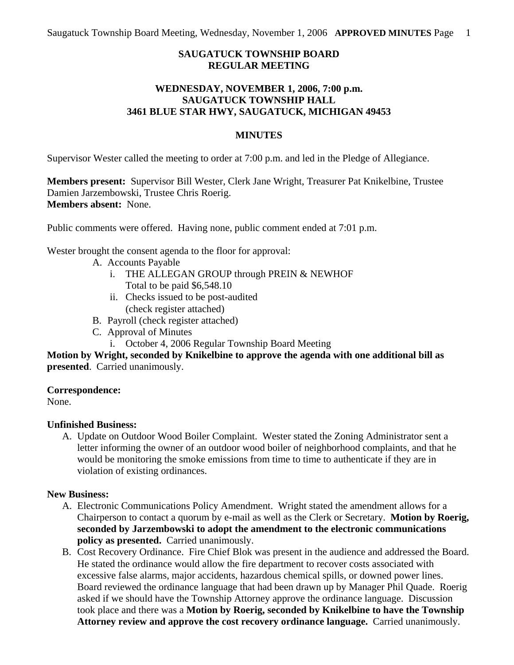# **SAUGATUCK TOWNSHIP BOARD REGULAR MEETING**

## **WEDNESDAY, NOVEMBER 1, 2006, 7:00 p.m. SAUGATUCK TOWNSHIP HALL 3461 BLUE STAR HWY, SAUGATUCK, MICHIGAN 49453**

### **MINUTES**

Supervisor Wester called the meeting to order at 7:00 p.m. and led in the Pledge of Allegiance.

**Members present:** Supervisor Bill Wester, Clerk Jane Wright, Treasurer Pat Knikelbine, Trustee Damien Jarzembowski, Trustee Chris Roerig. **Members absent:** None.

Public comments were offered. Having none, public comment ended at 7:01 p.m.

Wester brought the consent agenda to the floor for approval:

- A. Accounts Payable
	- i. THE ALLEGAN GROUP through PREIN & NEWHOF Total to be paid \$6,548.10
	- ii. Checks issued to be post-audited (check register attached)
- B. Payroll (check register attached)
- C. Approval of Minutes
	- i. October 4, 2006 Regular Township Board Meeting

**Motion by Wright, seconded by Knikelbine to approve the agenda with one additional bill as presented**. Carried unanimously.

#### **Correspondence:**

None.

## **Unfinished Business:**

A. Update on Outdoor Wood Boiler Complaint. Wester stated the Zoning Administrator sent a letter informing the owner of an outdoor wood boiler of neighborhood complaints, and that he would be monitoring the smoke emissions from time to time to authenticate if they are in violation of existing ordinances.

## **New Business:**

- A. Electronic Communications Policy Amendment. Wright stated the amendment allows for a Chairperson to contact a quorum by e-mail as well as the Clerk or Secretary. **Motion by Roerig, seconded by Jarzembowski to adopt the amendment to the electronic communications policy as presented.** Carried unanimously.
- B. Cost Recovery Ordinance. Fire Chief Blok was present in the audience and addressed the Board. He stated the ordinance would allow the fire department to recover costs associated with excessive false alarms, major accidents, hazardous chemical spills, or downed power lines. Board reviewed the ordinance language that had been drawn up by Manager Phil Quade. Roerig asked if we should have the Township Attorney approve the ordinance language. Discussion took place and there was a **Motion by Roerig, seconded by Knikelbine to have the Township Attorney review and approve the cost recovery ordinance language.** Carried unanimously.